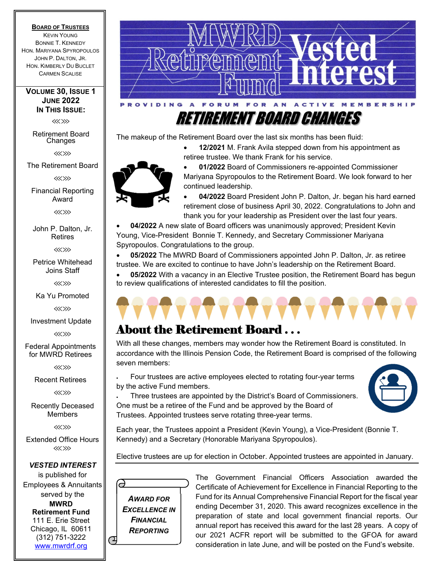**BOARD OF TRUSTEES** KEVIN YOUNG BONNIE T. KENNEDY HON. MARIYANA SPYROPOULOS JOHN P. DALTON, JR. HON. KIMBERLY DU BUCLET CARMEN SCALISE

#### **VOLUME 30, ISSUE 1 JUNE 2022 IN THIS ISSUE:**

⋘⋙

Retirement Board Changes

⋘⋙

#### The Retirement Board

⋘⋙

Financial Reporting Award

⋘⋙

John P. Dalton, Jr. Retires

⋘⋙

Petrice Whitehead Joins Staff

⋘⋙

Ka Yu Promoted

⋘⋙

Investment Update

⋘⋙

Federal Appointments for MWRD Retirees

⋘⋙

Recent Retirees

⋘⋙

Recently Deceased **Members** 

⋘⋙

Extended Office Hours ⋘⋙

*VESTED INTEREST*

is published for Employees & Annuitants served by the **MWRD Retirement Fund**  111 E. Erie Street Chicago, IL 60611 (312) 751-3222 www.mwrdrf.org



# RETIREMENT BOARD CHANGES

The makeup of the Retirement Board over the last six months has been fluid:

 **12/2021** M. Frank Avila stepped down from his appointment as retiree trustee. We thank Frank for his service.



 **01/2022** Board of Commissioners re-appointed Commissioner Mariyana Spyropoulos to the Retirement Board. We look forward to her continued leadership.

 **04/2022** Board President John P. Dalton, Jr. began his hard earned retirement close of business April 30, 2022. Congratulations to John and thank you for your leadership as President over the last four years.

 **04/2022** A new slate of Board officers was unanimously approved; President Kevin Young, Vice-President Bonnie T. Kennedy, and Secretary Commissioner Mariyana Spyropoulos. Congratulations to the group.

 **05/2022** The MWRD Board of Commissioners appointed John P. Dalton, Jr. as retiree trustee. We are excited to continue to have John's leadership on the Retirement Board.

 **05/2022** With a vacancy in an Elective Trustee position, the Retirement Board has begun to review qualifications of interested candidates to fill the position.

# About the Retirement Board . . .

With all these changes, members may wonder how the Retirement Board is constituted. In accordance with the Illinois Pension Code, the Retirement Board is comprised of the following seven members:

 Four trustees are active employees elected to rotating four-year terms by the active Fund members.

 Three trustees are appointed by the District's Board of Commissioners. One must be a retiree of the Fund and be approved by the Board of Trustees. Appointed trustees serve rotating three-year terms.

Each year, the Trustees appoint a President (Kevin Young), a Vice-President (Bonnie T. Kennedy) and a Secretary (Honorable Mariyana Spyropoulos).

Elective trustees are up for election in October. Appointed trustees are appointed in January.

൙ *AWARD FOR EXCELLENCE IN FINANCIAL REPORTING*

⊐

The Government Financial Officers Association awarded the Certificate of Achievement for Excellence in Financial Reporting to the Fund for its Annual Comprehensive Financial Report for the fiscal year ending December 31, 2020. This award recognizes excellence in the preparation of state and local government financial reports. Our annual report has received this award for the last 28 years. A copy of our 2021 ACFR report will be submitted to the GFOA for award consideration in late June, and will be posted on the Fund's website.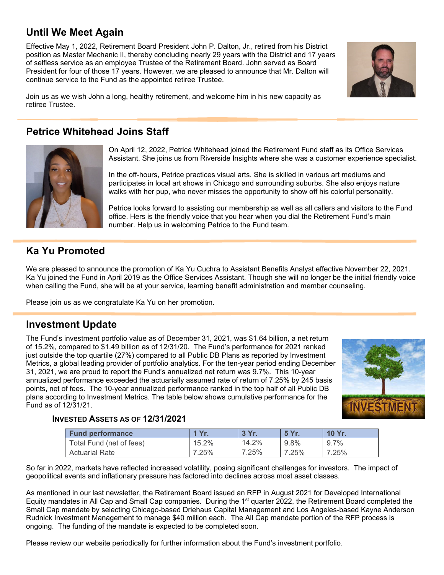# **Until We Meet Again**

Effective May 1, 2022, Retirement Board President John P. Dalton, Jr., retired from his District position as Master Mechanic II, thereby concluding nearly 29 years with the District and 17 years of selfless service as an employee Trustee of the Retirement Board. John served as Board President for four of those 17 years. However, we are pleased to announce that Mr. Dalton will continue service to the Fund as the appointed retiree Trustee.

Join us as we wish John a long, healthy retirement, and welcome him in his new capacity as retiree Trustee.

# **Petrice Whitehead Joins Staff**



On April 12, 2022, Petrice Whitehead joined the Retirement Fund staff as its Office Services Assistant. She joins us from Riverside Insights where she was a customer experience specialist.

In the off-hours, Petrice practices visual arts. She is skilled in various art mediums and participates in local art shows in Chicago and surrounding suburbs. She also enjoys nature walks with her pup, who never misses the opportunity to show off his colorful personality.

Petrice looks forward to assisting our membership as well as all callers and visitors to the Fund office. Hers is the friendly voice that you hear when you dial the Retirement Fund's main number. Help us in welcoming Petrice to the Fund team.

# **Ka Yu Promoted**

We are pleased to announce the promotion of Ka Yu Cuchra to Assistant Benefits Analyst effective November 22, 2021. Ka Yu joined the Fund in April 2019 as the Office Services Assistant. Though she will no longer be the initial friendly voice when calling the Fund, she will be at your service, learning benefit administration and member counseling.

Please join us as we congratulate Ka Yu on her promotion.

### **Investment Update**

The Fund's investment portfolio value as of December 31, 2021, was \$1.64 billion, a net return of 15.2%, compared to \$1.49 billion as of 12/31/20. The Fund's performance for 2021 ranked just outside the top quartile (27%) compared to all Public DB Plans as reported by Investment Metrics, a global leading provider of portfolio analytics. For the ten-year period ending December 31, 2021, we are proud to report the Fund's annualized net return was 9.7%. This 10-year annualized performance exceeded the actuarially assumed rate of return of 7.25% by 245 basis points, net of fees. The 10-year annualized performance ranked in the top half of all Public DB plans according to Investment Metrics. The table below shows cumulative performance for the Fund as of 12/31/21.



#### **INVESTED ASSETS AS OF 12/31/2021**

| <b>Fund performance</b>  | Yr.   | 3 Yr. | 5 Yr. | 10 Yr.  |
|--------------------------|-------|-------|-------|---------|
| Total Fund (net of fees) | 15.2% | 14.2% | 9.8%  | $9.7\%$ |
| <b>Actuarial Rate</b>    | 7.25% | 7.25% | 7.25% | 7.25%   |

So far in 2022, markets have reflected increased volatility, posing significant challenges for investors. The impact of geopolitical events and inflationary pressure has factored into declines across most asset classes.

As mentioned in our last newsletter, the Retirement Board issued an RFP in August 2021 for Developed International Equity mandates in All Cap and Small Cap companies. During the 1<sup>st</sup> quarter 2022, the Retirement Board completed the Small Cap mandate by selecting Chicago-based Driehaus Capital Management and Los Angeles-based Kayne Anderson Rudnick Investment Management to manage \$40 million each. The All Cap mandate portion of the RFP process is ongoing. The funding of the mandate is expected to be completed soon.

Please review our website periodically for further information about the Fund's investment portfolio.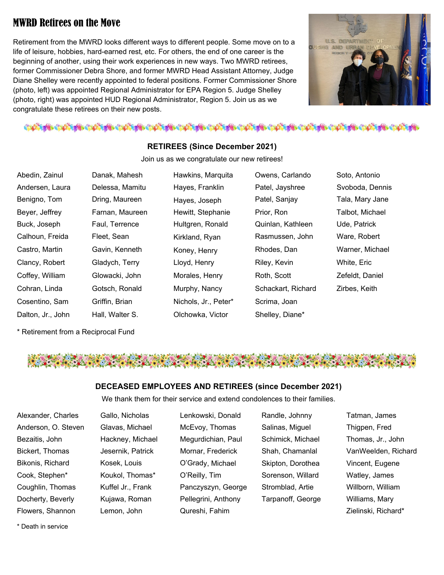## MWRD Retirees on the Move

Retirement from the MWRD looks different ways to different people. Some move on to a life of leisure, hobbies, hard-earned rest, etc. For others, the end of one career is the beginning of another, using their work experiences in new ways. Two MWRD retirees, former Commissioner Debra Shore, and former MWRD Head Assistant Attorney, Judge Diane Shelley were recently appointed to federal positions. Former Commissioner Shore (photo, left) was appointed Regional Administrator for EPA Region 5. Judge Shelley (photo, right) was appointed HUD Regional Administrator, Region 5. Join us as we congratulate these retirees on their new posts.



talis distribution distribution distribution distribution distribution distribution distribution distribution

#### **RETIREES (Since December 2021)**

Join us as we congratulate our new retirees!

| Abedin, Zainul    | Danak, Mahesh   |
|-------------------|-----------------|
| Andersen, Laura   | Delessa, Mamitu |
| Benigno, Tom      | Dring, Maureen  |
| Beyer, Jeffrey    | Farnan, Mauree  |
| Buck, Joseph      | Faul, Terrence  |
| Calhoun, Freida   | Fleet, Sean     |
| Castro, Martin    | Gavin, Kenneth  |
| Clancy, Robert    | Gladych, Terry  |
| Coffey, William   | Glowacki, John  |
| Cohran, Linda     | Gotsch, Ronald  |
| Cosentino, Sam    | Griffin, Brian  |
| Dalton, Jr., John | Hall, Walter S. |

\* Retirement from a Reciprocal Fund

Hayes, Joseph Patel, Sanjay Tala, Mary Jane n Hewitt, Stephanie Prior, Ron Talbot, Michael Hultgren, Ronald Quinlan, Kathleen Ude, Patrick Kirkland, Ryan Rasmussen, John Ware, Robert Koney, Henry **Rhodes, Dan Warner, Michael** Lloyd, Henry **Riley, Kevin White, Eric** Morales, Henry Roth, Scott Zefeldt, Daniel Murphy, Nancy Schackart, Richard Zirbes, Keith Nichols, Jr., Peter\* Scrima, Joan Olchowka, Victor Shelley, Diane\*

Andersen, Laura Patel, Jayshree Svoboda, Dennis

Hawkins, Marquita Owens, Carlando Soto, Antonio



#### **DECEASED EMPLOYEES AND RETIREES (since December 2021)**

We thank them for their service and extend condolences to their families.

- Alexander, Charles Gallo, Nicholas Lenkowski, Donald Randle, Johnny Tatman, James Anderson, O. Steven Glavas, Michael McEvoy, Thomas Salinas, Miguel Thigpen, Fred Bezaitis, John Hackney, Michael Megurdichian, Paul Schimick, Michael Thomas, Jr., John Bikonis, Richard Kosek, Louis O'Grady, Michael Skipton, Dorothea Vincent, Eugene Cook, Stephen\* Koukol, Thomas\* O'Reilly, Tim Sorenson, Willard Watley, James Coughlin, Thomas Kuffel Jr., Frank Panczyszyn, George Stromblad, Artie Willborn, William Docherty, Beverly Kujawa, Roman Pellegrini, Anthony Tarpanoff, George Williams, Mary Flowers, Shannon Lemon, John Qureshi, Fahim **Zielinski, Richard\*** Zielinski, Richard\*
	-

Bickert, Thomas Jesernik, Patrick Mornar, Frederick Shah, Chamanlal VanWeelden, Richard

\* Death in service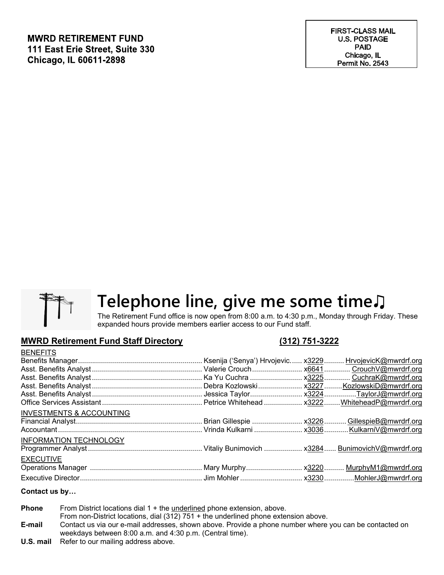**MWRD RETIREMENT FUND** 111 East Erie Street, Suite 330 Chicago, IL 60611-2898

**FIRST-CLASS MAIL U.S. POSTAGE PAID** Chicago, IL Permit No. 2543



# **Telephone line, give me some time**♫

The Retirement Fund office is now open from 8:00 a.m. to 4:30 p.m., Monday through Friday. These expanded hours provide members earlier access to our Fund staff.

#### **MWRD Retirement Fund Staff Directory (312) 751-3222**

| <b>BENEFITS</b>                                                                               |  |  |
|-----------------------------------------------------------------------------------------------|--|--|
|                                                                                               |  |  |
|                                                                                               |  |  |
|                                                                                               |  |  |
|                                                                                               |  |  |
| Asst. Benefits Analyst……………………………………………… Jessica Taylor…………………… x3224…………… TaylorJ@mwrdrf.org |  |  |
|                                                                                               |  |  |
| <b>INVESTMENTS &amp; ACCOUNTING</b>                                                           |  |  |
|                                                                                               |  |  |
|                                                                                               |  |  |
| <b>INFORMATION TECHNOLOGY</b>                                                                 |  |  |
|                                                                                               |  |  |
| <b>EXECUTIVE</b>                                                                              |  |  |
|                                                                                               |  |  |
|                                                                                               |  |  |

#### **Contact us by…**

| Phone  | From District locations dial 1 + the <u>underlined</u> phone extension, above.                                                                                                                                                                          |
|--------|---------------------------------------------------------------------------------------------------------------------------------------------------------------------------------------------------------------------------------------------------------|
|        | From non-District locations, dial (312) 751 + the underlined phone extension above.                                                                                                                                                                     |
| E-mail | Contact us via our e-mail addresses, shown above. Provide a phone number where you can be contacted on                                                                                                                                                  |
|        | weekdays between 8:00 a.m. and 4:30 p.m. (Central time).                                                                                                                                                                                                |
|        | $\mathbf{H} \cdot \mathbf{C}$ and $\mathbf{H} \cdot \mathbf{D}$ is finite as a set of the set of the set of the set of the set of the set of the set of the set of the set of the set of the set of the set of the set of the set of the set of the set |

**U.S. mail** Refer to our mailing address above.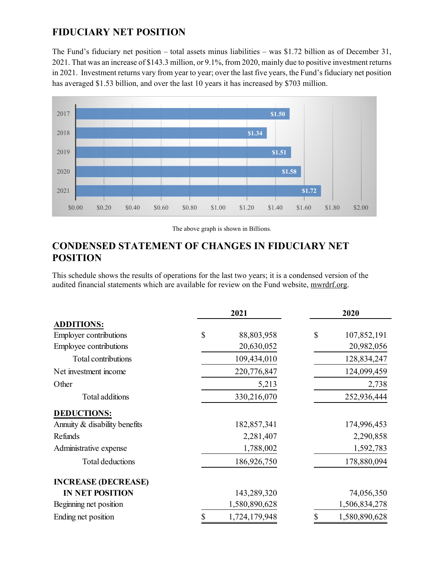### **FIDUCIARY NET POSITION**

The Fund's fiduciary net position – total assets minus liabilities – was \$1.72 billion as of December 31, 2021. That was an increase of \$143.3 million, or 9.1%, from 2020, mainly due to positive investment returns in 2021. Investment returns vary from year to year; over the last five years, the Fund's fiduciary net position has averaged \$1.53 billion, and over the last 10 years it has increased by \$703 million.



The above graph is shown in Billions.

## **CONDENSED STATEMENT OF CHANGES IN FIDUCIARY NET POSITION**

This schedule shows the results of operations for the last two years; it is a condensed version of the audited financial statements which are available for review on the Fund website, mwrdrf.org.

|                               | 2021                | 2020 |               |
|-------------------------------|---------------------|------|---------------|
| <b>ADDITIONS:</b>             |                     |      |               |
| <b>Employer contributions</b> | \$<br>88,803,958    | \$   | 107,852,191   |
| Employee contributions        | 20,630,052          |      | 20,982,056    |
| Total contributions           | 109,434,010         |      | 128,834,247   |
| Net investment income         | 220,776,847         |      | 124,099,459   |
| Other                         | 5,213               |      | 2,738         |
| Total additions               | 330,216,070         |      | 252,936,444   |
| <b>DEDUCTIONS:</b>            |                     |      |               |
| Annuity & disability benefits | 182,857,341         |      | 174,996,453   |
| Refunds                       | 2,281,407           |      | 2,290,858     |
| Administrative expense        | 1,788,002           |      | 1,592,783     |
| Total deductions              | 186,926,750         |      | 178,880,094   |
| <b>INCREASE (DECREASE)</b>    |                     |      |               |
| <b>IN NET POSITION</b>        | 143,289,320         |      | 74,056,350    |
| Beginning net position        | 1,580,890,628       |      | 1,506,834,278 |
| Ending net position           | \$<br>1,724,179,948 | \$   | 1,580,890,628 |